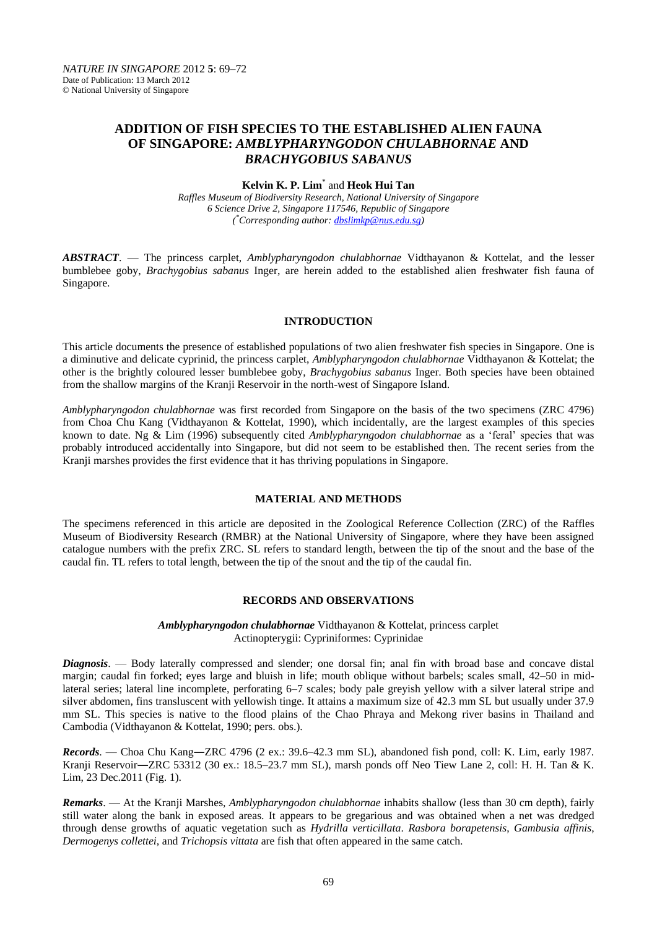# **ADDITION OF FISH SPECIES TO THE ESTABLISHED ALIEN FAUNA OF SINGAPORE:** *AMBLYPHARYNGODON CHULABHORNAE* **AND** *BRACHYGOBIUS SABANUS*

# **Kelvin K. P. Lim**\* and **Heok Hui Tan**

*Raffles Museum of Biodiversity Research, National University of Singapore 6 Science Drive 2, Singapore 117546, Republic of Singapore ( \*Corresponding author: [dbslimkp@nus.edu.sg\)](mailto:dbslimkp@nus.edu.sg)*

*ABSTRACT*. — The princess carplet, *Amblypharyngodon chulabhornae* Vidthayanon & Kottelat, and the lesser bumblebee goby, *Brachygobius sabanus* Inger, are herein added to the established alien freshwater fish fauna of Singapore.

### **INTRODUCTION**

This article documents the presence of established populations of two alien freshwater fish species in Singapore. One is a diminutive and delicate cyprinid, the princess carplet, *Amblypharyngodon chulabhornae* Vidthayanon & Kottelat; the other is the brightly coloured lesser bumblebee goby, *Brachygobius sabanus* Inger. Both species have been obtained from the shallow margins of the Kranji Reservoir in the north-west of Singapore Island.

*Amblypharyngodon chulabhornae* was first recorded from Singapore on the basis of the two specimens (ZRC 4796) from Choa Chu Kang (Vidthayanon & Kottelat, 1990), which incidentally, are the largest examples of this species known to date. Ng & Lim (1996) subsequently cited *Amblypharyngodon chulabhornae* as a 'feral' species that was probably introduced accidentally into Singapore, but did not seem to be established then. The recent series from the Kranji marshes provides the first evidence that it has thriving populations in Singapore.

# **MATERIAL AND METHODS**

The specimens referenced in this article are deposited in the Zoological Reference Collection (ZRC) of the Raffles Museum of Biodiversity Research (RMBR) at the National University of Singapore, where they have been assigned catalogue numbers with the prefix ZRC. SL refers to standard length, between the tip of the snout and the base of the caudal fin. TL refers to total length, between the tip of the snout and the tip of the caudal fin.

# **RECORDS AND OBSERVATIONS**

# *Amblypharyngodon chulabhornae* Vidthayanon & Kottelat, princess carplet Actinopterygii: Cypriniformes: Cyprinidae

*Diagnosis*. — Body laterally compressed and slender; one dorsal fin; anal fin with broad base and concave distal margin; caudal fin forked; eyes large and bluish in life; mouth oblique without barbels; scales small, 42–50 in midlateral series; lateral line incomplete, perforating 6–7 scales; body pale greyish yellow with a silver lateral stripe and silver abdomen, fins transluscent with yellowish tinge. It attains a maximum size of 42.3 mm SL but usually under 37.9 mm SL. This species is native to the flood plains of the Chao Phraya and Mekong river basins in Thailand and Cambodia (Vidthayanon & Kottelat, 1990; pers. obs.).

*Records*. — Choa Chu Kang―ZRC 4796 (2 ex.: 39.6–42.3 mm SL), abandoned fish pond, coll: K. Lim, early 1987. Kranji Reservoir―ZRC 53312 (30 ex.: 18.5–23.7 mm SL), marsh ponds off Neo Tiew Lane 2, coll: H. H. Tan & K. Lim, 23 Dec.2011 (Fig. 1).

*Remarks*. — At the Kranji Marshes, *Amblypharyngodon chulabhornae* inhabits shallow (less than 30 cm depth), fairly still water along the bank in exposed areas. It appears to be gregarious and was obtained when a net was dredged through dense growths of aquatic vegetation such as *Hydrilla verticillata*. *Rasbora borapetensis*, *Gambusia affinis*, *Dermogenys collettei*, and *Trichopsis vittata* are fish that often appeared in the same catch.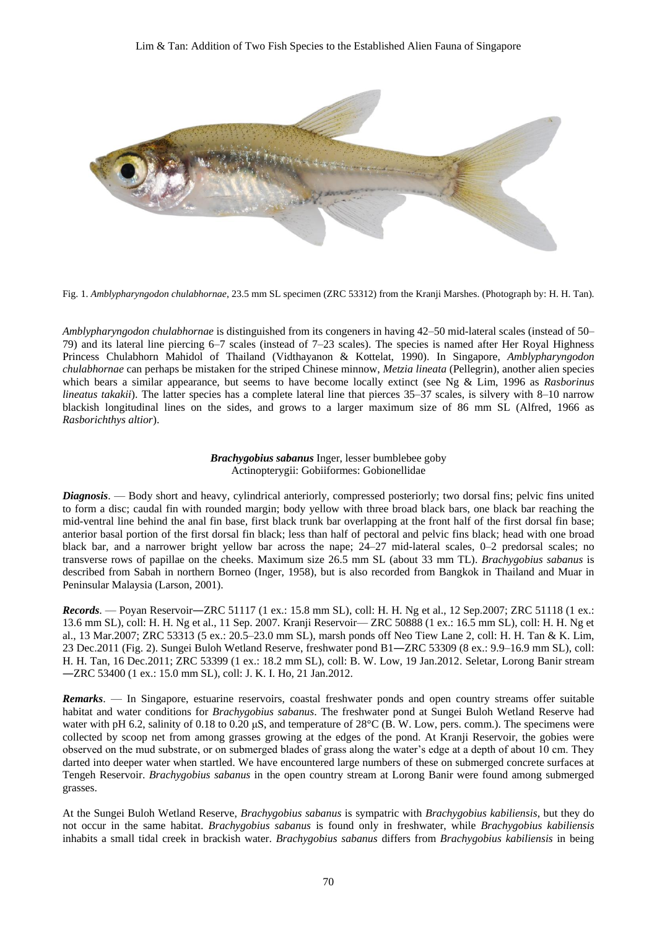

Fig. 1. *Amblypharyngodon chulabhornae*, 23.5 mm SL specimen (ZRC 53312) from the Kranji Marshes. (Photograph by: H. H. Tan).

*Amblypharyngodon chulabhornae* is distinguished from its congeners in having 42–50 mid-lateral scales (instead of 50– 79) and its lateral line piercing 6–7 scales (instead of 7–23 scales). The species is named after Her Royal Highness Princess Chulabhorn Mahidol of Thailand (Vidthayanon & Kottelat, 1990). In Singapore, *Amblypharyngodon chulabhornae* can perhaps be mistaken for the striped Chinese minnow, *Metzia lineata* (Pellegrin), another alien species which bears a similar appearance, but seems to have become locally extinct (see Ng & Lim, 1996 as *Rasborinus lineatus takakii*). The latter species has a complete lateral line that pierces 35–37 scales, is silvery with 8–10 narrow blackish longitudinal lines on the sides, and grows to a larger maximum size of 86 mm SL (Alfred, 1966 as *Rasborichthys altior*).

# *Brachygobius sabanus* Inger, lesser bumblebee goby Actinopterygii: Gobiiformes: Gobionellidae

*Diagnosis*. — Body short and heavy, cylindrical anteriorly, compressed posteriorly; two dorsal fins; pelvic fins united to form a disc; caudal fin with rounded margin; body yellow with three broad black bars, one black bar reaching the mid-ventral line behind the anal fin base, first black trunk bar overlapping at the front half of the first dorsal fin base; anterior basal portion of the first dorsal fin black; less than half of pectoral and pelvic fins black; head with one broad black bar, and a narrower bright yellow bar across the nape; 24–27 mid-lateral scales, 0–2 predorsal scales; no transverse rows of papillae on the cheeks. Maximum size 26.5 mm SL (about 33 mm TL). *Brachygobius sabanus* is described from Sabah in northern Borneo (Inger, 1958), but is also recorded from Bangkok in Thailand and Muar in Peninsular Malaysia (Larson, 2001).

*Records*. — Poyan Reservoir―ZRC 51117 (1 ex.: 15.8 mm SL), coll: H. H. Ng et al., 12 Sep.2007; ZRC 51118 (1 ex.: 13.6 mm SL), coll: H. H. Ng et al., 11 Sep. 2007. Kranji Reservoir— ZRC 50888 (1 ex.: 16.5 mm SL), coll: H. H. Ng et al., 13 Mar.2007; ZRC 53313 (5 ex.: 20.5–23.0 mm SL), marsh ponds off Neo Tiew Lane 2, coll: H. H. Tan & K. Lim, 23 Dec.2011 (Fig. 2). Sungei Buloh Wetland Reserve, freshwater pond B1―ZRC 53309 (8 ex.: 9.9–16.9 mm SL), coll: H. H. Tan, 16 Dec.2011; ZRC 53399 (1 ex.: 18.2 mm SL), coll: B. W. Low, 19 Jan.2012. Seletar, Lorong Banir stream ―ZRC 53400 (1 ex.: 15.0 mm SL), coll: J. K. I. Ho, 21 Jan.2012.

*Remarks*. — In Singapore, estuarine reservoirs, coastal freshwater ponds and open country streams offer suitable habitat and water conditions for *Brachygobius sabanus*. The freshwater pond at Sungei Buloh Wetland Reserve had water with pH 6.2, salinity of 0.18 to 0.20 μS, and temperature of 28°C (B. W. Low, pers. comm.). The specimens were collected by scoop net from among grasses growing at the edges of the pond. At Kranji Reservoir, the gobies were observed on the mud substrate, or on submerged blades of grass along the water's edge at a depth of about 10 cm. They darted into deeper water when startled. We have encountered large numbers of these on submerged concrete surfaces at Tengeh Reservoir. *Brachygobius sabanus* in the open country stream at Lorong Banir were found among submerged grasses.

At the Sungei Buloh Wetland Reserve, *Brachygobius sabanus* is sympatric with *Brachygobius kabiliensis*, but they do not occur in the same habitat. *Brachygobius sabanus* is found only in freshwater, while *Brachygobius kabiliensis* inhabits a small tidal creek in brackish water. *Brachygobius sabanus* differs from *Brachygobius kabiliensis* in being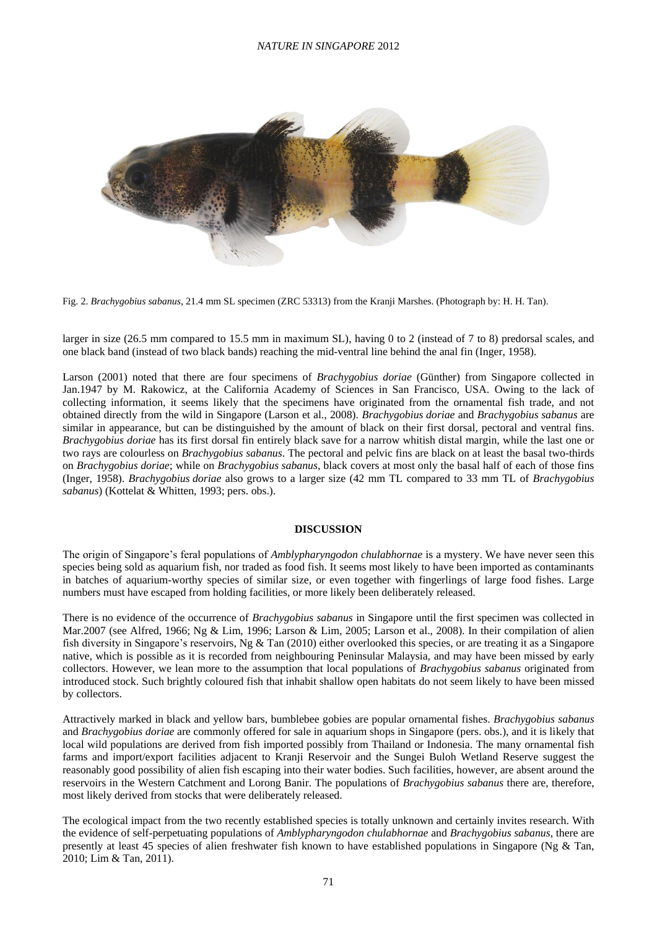### *NATURE IN SINGAPORE* 2012





larger in size (26.5 mm compared to 15.5 mm in maximum SL), having 0 to 2 (instead of 7 to 8) predorsal scales, and one black band (instead of two black bands) reaching the mid-ventral line behind the anal fin (Inger, 1958).

Larson (2001) noted that there are four specimens of *Brachygobius doriae* (Günther) from Singapore collected in Jan.1947 by M. Rakowicz, at the California Academy of Sciences in San Francisco, USA. Owing to the lack of collecting information, it seems likely that the specimens have originated from the ornamental fish trade, and not obtained directly from the wild in Singapore (Larson et al., 2008). *Brachygobius doriae* and *Brachygobius sabanus* are similar in appearance, but can be distinguished by the amount of black on their first dorsal, pectoral and ventral fins. *Brachygobius doriae* has its first dorsal fin entirely black save for a narrow whitish distal margin, while the last one or two rays are colourless on *Brachygobius sabanus*. The pectoral and pelvic fins are black on at least the basal two-thirds on *Brachygobius doriae*; while on *Brachygobius sabanus*, black covers at most only the basal half of each of those fins (Inger, 1958). *Brachygobius doriae* also grows to a larger size (42 mm TL compared to 33 mm TL of *Brachygobius sabanus*) (Kottelat & Whitten, 1993; pers. obs.).

#### **DISCUSSION**

The origin of Singapore's feral populations of *Amblypharyngodon chulabhornae* is a mystery. We have never seen this species being sold as aquarium fish, nor traded as food fish. It seems most likely to have been imported as contaminants in batches of aquarium-worthy species of similar size, or even together with fingerlings of large food fishes. Large numbers must have escaped from holding facilities, or more likely been deliberately released.

There is no evidence of the occurrence of *Brachygobius sabanus* in Singapore until the first specimen was collected in Mar.2007 (see Alfred, 1966; Ng & Lim, 1996; Larson & Lim, 2005; Larson et al., 2008). In their compilation of alien fish diversity in Singapore's reservoirs, Ng & Tan (2010) either overlooked this species, or are treating it as a Singapore native, which is possible as it is recorded from neighbouring Peninsular Malaysia, and may have been missed by early collectors. However, we lean more to the assumption that local populations of *Brachygobius sabanus* originated from introduced stock. Such brightly coloured fish that inhabit shallow open habitats do not seem likely to have been missed by collectors.

Attractively marked in black and yellow bars, bumblebee gobies are popular ornamental fishes. *Brachygobius sabanus* and *Brachygobius doriae* are commonly offered for sale in aquarium shops in Singapore (pers. obs.), and it is likely that local wild populations are derived from fish imported possibly from Thailand or Indonesia. The many ornamental fish farms and import/export facilities adjacent to Kranji Reservoir and the Sungei Buloh Wetland Reserve suggest the reasonably good possibility of alien fish escaping into their water bodies. Such facilities, however, are absent around the reservoirs in the Western Catchment and Lorong Banir. The populations of *Brachygobius sabanus* there are, therefore, most likely derived from stocks that were deliberately released.

The ecological impact from the two recently established species is totally unknown and certainly invites research. With the evidence of self-perpetuating populations of *Amblypharyngodon chulabhornae* and *Brachygobius sabanus*, there are presently at least 45 species of alien freshwater fish known to have established populations in Singapore (Ng & Tan, 2010; Lim & Tan, 2011).